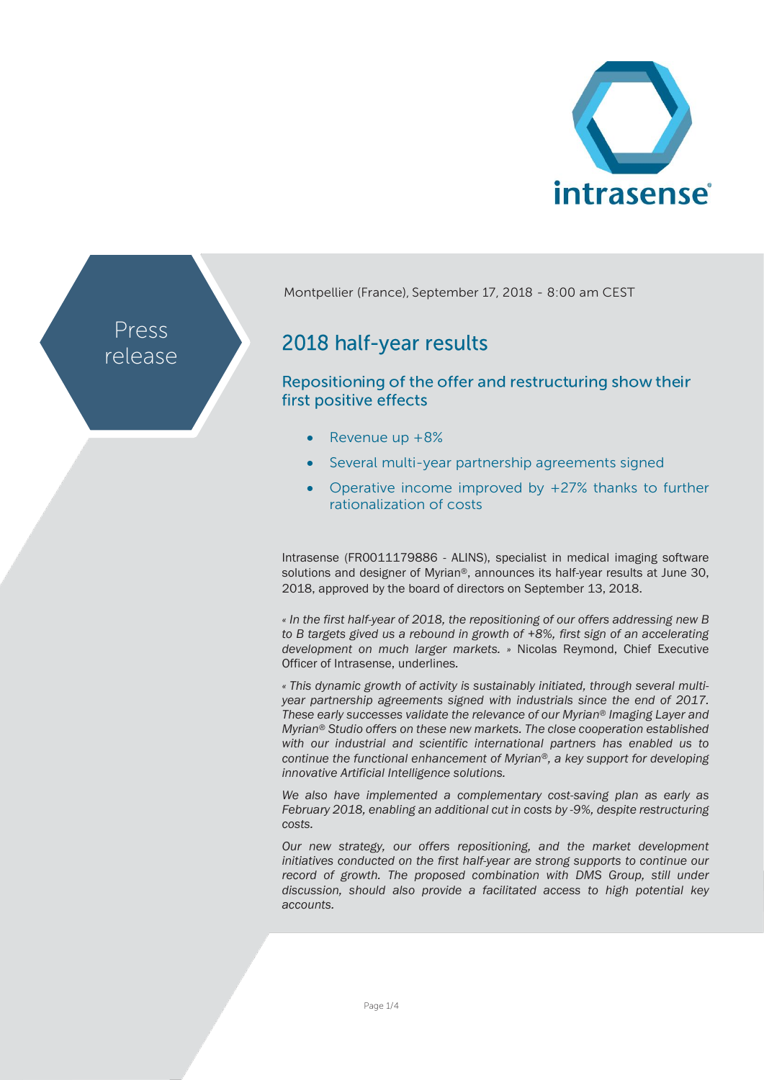

Press release Montpellier (France), September 17, 2018 - 8:00 am CEST

# 2018 half-year results

Repositioning of the offer and restructuring show their first positive effects

- Revenue up +8%
- Several multi-year partnership agreements signed
- Operative income improved by  $+27%$  thanks to further rationalization of costs

Intrasense (FR0011179886 - ALINS), specialist in medical imaging software solutions and designer of Myrian®, announces its half-year results at June 30, 2018, approved by the board of directors on September 13, 2018.

*« In the first half-year of 2018, the repositioning of our offers addressing new B to B targets gived us a rebound in growth of +8%, first sign of an accelerating development on much larger markets. »* Nicolas Reymond, Chief Executive Officer of Intrasense, underlines*.* 

*« This dynamic growth of activity is sustainably initiated, through several multiyear partnership agreements signed with industrials since the end of 2017. These early successes validate the relevance of our Myrian® Imaging Layer and Myrian® Studio offers on these new markets. The close cooperation established with our industrial and scientific international partners has enabled us to continue the functional enhancement of Myrian®, a key support for developing innovative Artificial Intelligence solutions.* 

*We also have implemented a complementary cost-saving plan as early as February 2018, enabling an additional cut in costs by -9%, despite restructuring costs.*

*Our new strategy, our offers repositioning, and the market development initiatives conducted on the first half-year are strong supports to continue our record of growth. The proposed combination with DMS Group, still under discussion, should also provide a facilitated access to high potential key accounts.*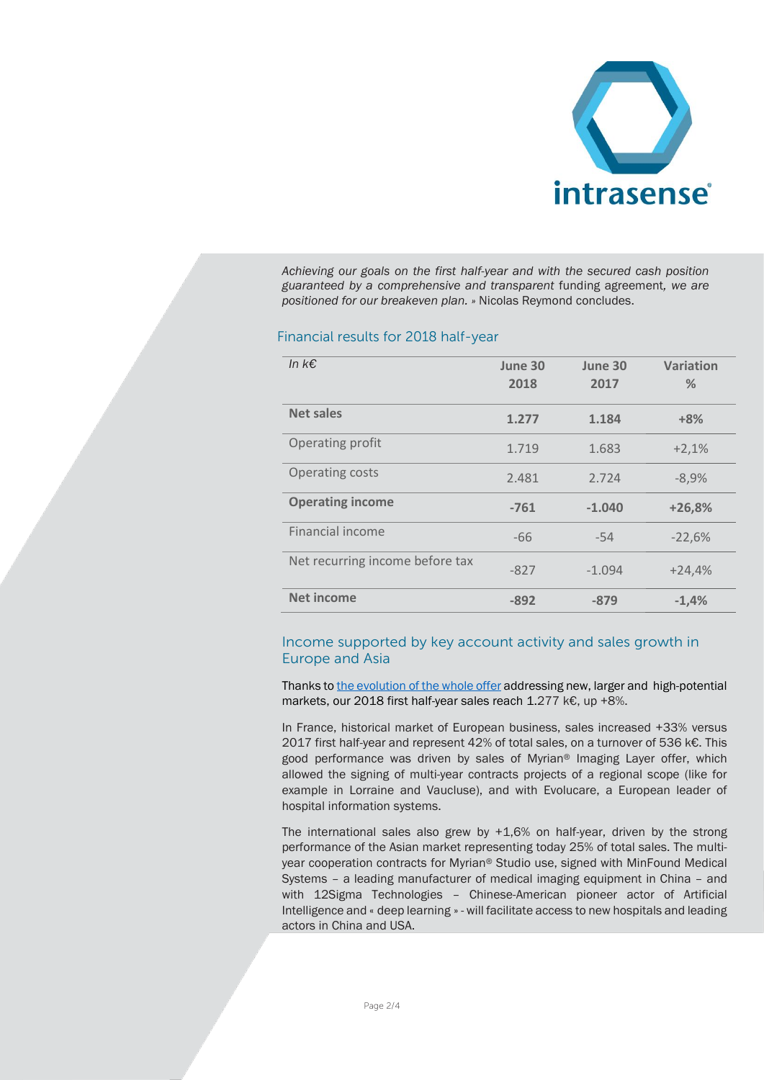

*Achieving our goals on the first half-year and with the secured cash position guaranteed by a comprehensive and transparent* funding agreement*, we are positioned for our breakeven plan. »* Nicolas Reymond concludes.

## Financial results for 2018 half-year

| In $k \in$                      | June 30<br>2018 | June 30<br>2017 | <b>Variation</b><br>% |
|---------------------------------|-----------------|-----------------|-----------------------|
| <b>Net sales</b>                | 1.277           | 1.184           | $+8%$                 |
| Operating profit                | 1.719           | 1.683           | $+2,1%$               |
| Operating costs                 | 2.481           | 2.724           | $-8,9%$               |
| <b>Operating income</b>         | $-761$          | $-1.040$        | $+26,8%$              |
| Financial income                | $-66$           | $-54$           | $-22,6%$              |
| Net recurring income before tax | $-827$          | $-1.094$        | $+24,4%$              |
| <b>Net income</b>               | $-892$          | $-879$          | $-1,4%$               |

# Income supported by key account activity and sales growth in Europe and Asia

Thanks to [the evolution](https://www.intrasense.fr/wp-content/uploads/2017/09/press-release_Strategy2017-20170928-FR.pdf) of the whole offer addressing new, larger and high-potential markets, our 2018 first half-year sales reach 1.277 k€, up +8%.

In France, historical market of European business, sales increased +33% versus 2017 first half-year and represent 42% of total sales, on a turnover of 536 k€. This good performance was driven by sales of Myrian® Imaging Layer offer, which allowed the signing of multi-year contracts projects of a regional scope (like for example in Lorraine and Vaucluse), and with Evolucare, a European leader of hospital information systems.

The international sales also grew by  $+1,6%$  on half-year, driven by the strong performance of the Asian market representing today 25% of total sales. The multiyear cooperation contracts for Myrian® Studio use, signed with MinFound Medical Systems – a leading manufacturer of medical imaging equipment in China – and with 12Sigma Technologies – Chinese-American pioneer actor of Artificial Intelligence and « deep learning » - will facilitate access to new hospitals and leading actors in China and USA.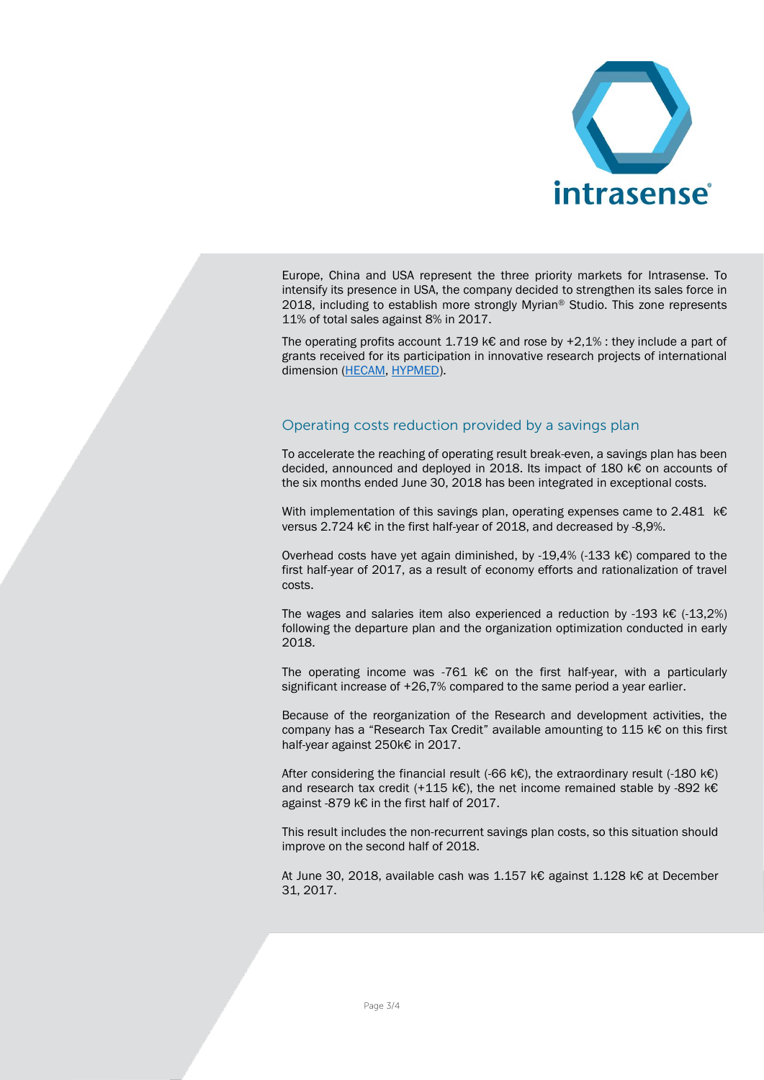

Europe, China and USA represent the three priority markets for Intrasense. To intensify its presence in USA, the company decided to strengthen its sales force in 2018, including to establish more strongly Myrian® Studio. This zone represents 11% of total sales against 8% in 2017.

The operating profits account 1.719 k€ and rose by  $+2,1\%$ : they include a part of grants received for its participation in innovative research projects of international dimension [\(HECAM,](https://www.hecam.fr/fr/) [HYPMED\)](http://www.hypmed.eu/about-hypmed).

## Operating costs reduction provided by a savings plan

To accelerate the reaching of operating result break-even, a savings plan has been decided, announced and deployed in 2018. Its impact of 180 k€ on accounts of the six months ended June 30, 2018 has been integrated in exceptional costs.

With implementation of this savings plan, operating expenses came to 2.481 k€ versus 2.724 k€ in the first half-year of 2018, and decreased by -8,9%.

Overhead costs have yet again diminished, by -19,4% (-133 k€) compared to the first half-year of 2017, as a result of economy efforts and rationalization of travel costs.

The wages and salaries item also experienced a reduction by -193 k $\epsilon$  (-13,2%) following the departure plan and the organization optimization conducted in early 2018.

The operating income was -761 k $\epsilon$  on the first half-year, with a particularly significant increase of +26,7% compared to the same period a year earlier.

Because of the reorganization of the Research and development activities, the company has a "Research Tax Credit" available amounting to 115 k€ on this first half-year against 250k€ in 2017.

After considering the financial result (-66 k€), the extraordinary result (-180 k€) and research tax credit (+115 k€), the net income remained stable by -892 k€ against -879 k€ in the first half of 2017.

This result includes the non-recurrent savings plan costs, so this situation should improve on the second half of 2018.

At June 30, 2018, available cash was 1.157 k€ against 1.128 k€ at December 31, 2017.